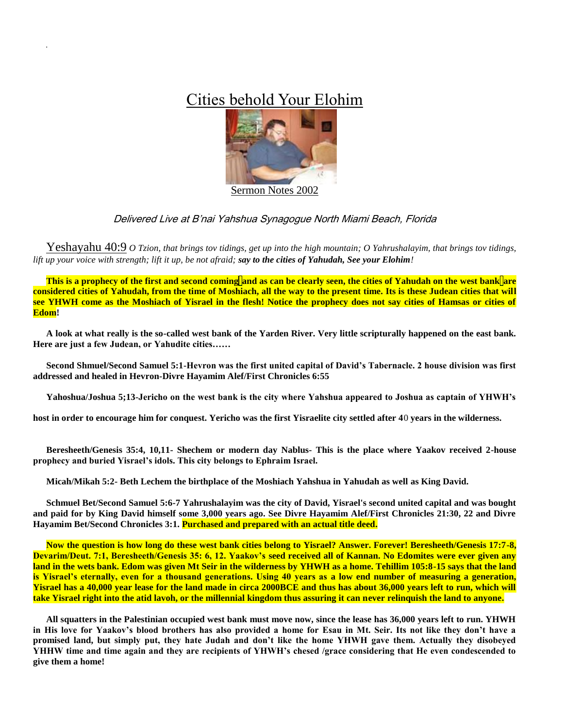## Cities behold Your Elohim



## Delivered Live at B'nai Yahshua Synagogue North Miami Beach, Florida

Yeshayahu 40:9 *O Tzion, that brings tov tidings, get up into the high mountain; O Yahrushalayim, that brings tov tidings, lift up your voice with strength; lift it up, be not afraid; say to the cities of Yahudah, See your Elohim!*

**This is a prophecy of the first and second coming and as can be clearly seen, the cities of Yahudah on the west bank are considered cities of Yahudah, from the time of Moshiach, all the way to the present time. Its is these Judean cities that will see YHWH come as the Moshiach of Yisrael in the flesh! Notice the prophecy does not say cities of Hamsas or cities of Edom!**

**A look at what really is the so-called west bank of the Yarden River. Very little scripturally happened on the east bank. Here are just a few Judean, or Yahudite cities……**

**Second Shmuel/Second Samuel 5:1-Hevron was the first united capital of David's Tabernacle. 2 house division was first addressed and healed in Hevron-Divre Hayamim Alef/First Chronicles 6:55**

**Yahoshua/Joshua 5;13-Jericho on the west bank is the city where Yahshua appeared to Joshua as captain of YHWH's** 

**host in order to encourage him for conquest. Yericho was the first Yisraelite city settled after 4**0 **years in the wilderness.**

**Beresheeth/Genesis 35:4, 10,11- Shechem or modern day Nablus- This is the place where Yaakov received 2-house prophecy and buried Yisrael's idols. This city belongs to Ephraim Israel.**

**Micah/Mikah 5:2- Beth Lechem the birthplace of the Moshiach Yahshua in Yahudah as well as King David.**

**Schmuel Bet/Second Samuel 5:6-7 Yahrushalayim was the city of David, Yisrael's second united capital and was bought and paid for by King David himself some 3,000 years ago. See Divre Hayamim Alef/First Chronicles 21:30, 22 and Divre Hayamim Bet/Second Chronicles 3:1. Purchased and prepared with an actual title deed.**

**Now the question is how long do these west bank cities belong to Yisrael? Answer. Forever! Beresheeth/Genesis 17:7-8, Devarim/Deut. 7:1, Beresheeth/Genesis 35: 6, 12. Yaakov's seed received all of Kannan. No Edomites were ever given any land in the wets bank. Edom was given Mt Seir in the wilderness by YHWH as a home. Tehillim 105:8-15 says that the land is Yisrael's eternally, even for a thousand generations. Using 40 years as a low end number of measuring a generation, Yisrael has a 40,000 year lease for the land made in circa 2000BCE and thus has about 36,000 years left to run, which will take Yisrael right into the atid lavoh, or the millennial kingdom thus assuring it can never relinquish the land to anyone.**

**All squatters in the Palestinian occupied west bank must move now, since the lease has 36,000 years left to run. YHWH in His love for Yaakov's blood brothers has also provided a home for Esau in Mt. Seir. Its not like they don't have a promised land, but simply put, they hate Judah and don't like the home YHWH gave them. Actually they disobeyed YHHW time and time again and they are recipients of YHWH's chesed /grace considering that He even condescended to give them a home!**